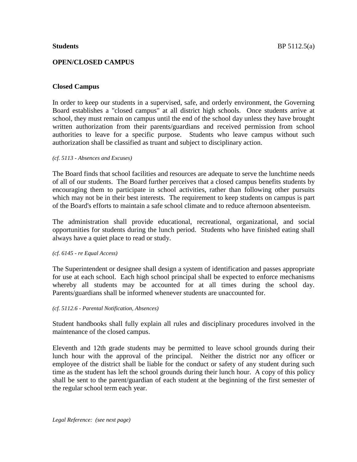## **OPEN/CLOSED CAMPUS**

## **Closed Campus**

In order to keep our students in a supervised, safe, and orderly environment, the Governing Board establishes a "closed campus" at all district high schools. Once students arrive at school, they must remain on campus until the end of the school day unless they have brought written authorization from their parents/guardians and received permission from school authorities to leave for a specific purpose. Students who leave campus without such authorization shall be classified as truant and subject to disciplinary action.

#### *(cf. 5113 - Absences and Excuses)*

The Board finds that school facilities and resources are adequate to serve the lunchtime needs of all of our students. The Board further perceives that a closed campus benefits students by encouraging them to participate in school activities, rather than following other pursuits which may not be in their best interests. The requirement to keep students on campus is part of the Board's efforts to maintain a safe school climate and to reduce afternoon absenteeism.

The administration shall provide educational, recreational, organizational, and social opportunities for students during the lunch period. Students who have finished eating shall always have a quiet place to read or study.

## *(cf. 6145 - re Equal Access)*

The Superintendent or designee shall design a system of identification and passes appropriate for use at each school. Each high school principal shall be expected to enforce mechanisms whereby all students may be accounted for at all times during the school day. Parents/guardians shall be informed whenever students are unaccounted for.

## *(cf. 5112.6 - Parental Notification, Absences)*

Student handbooks shall fully explain all rules and disciplinary procedures involved in the maintenance of the closed campus.

Eleventh and 12th grade students may be permitted to leave school grounds during their lunch hour with the approval of the principal. Neither the district nor any officer or employee of the district shall be liable for the conduct or safety of any student during such time as the student has left the school grounds during their lunch hour. A copy of this policy shall be sent to the parent/guardian of each student at the beginning of the first semester of the regular school term each year.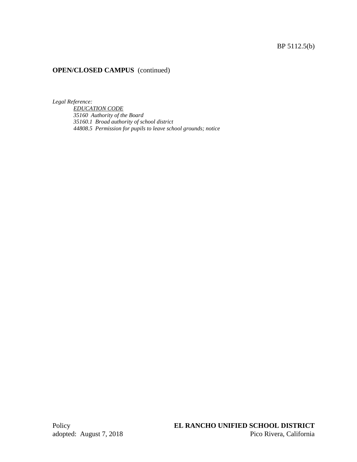# BP 5112.5(b)

# **OPEN/CLOSED CAMPUS** (continued)

*Legal Reference:*

*EDUCATION CODE 35160 Authority of the Board 35160.1 Broad authority of school district 44808.5 Permission for pupils to leave school grounds; notice*